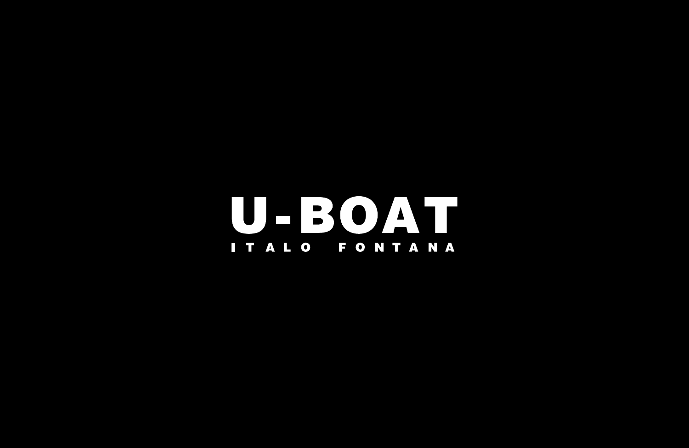**U-BOAT** ITALO FONTANA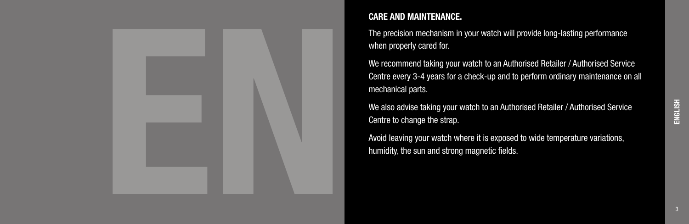

## CARE AND MAINTENANCE.

The precision mechanism in your watch will provide long-lasting performance when properly cared for.

We recommend taking your watch to an Authorised Retailer / Authorised Service Centre every 3-4 years for a check-up and to perform ordinary maintenance on all mechanical parts.

We also advise taking your watch to an Authorised Retailer / Authorised Service Centre to change the strap.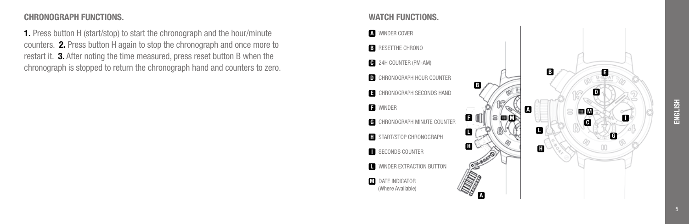# ENGLISH

#### CHRONOGRAPH FUNCTIONS.

1. Press button H (start/stop) to start the chronograph and the hour/minute counters. 2. Press button H again to stop the chronograph and once more to restart it. 3. After noting the time measured, press reset button B when the chronograph is stopped to return the chronograph hand and counters to zero.

#### WATCH FUNCTIONS.

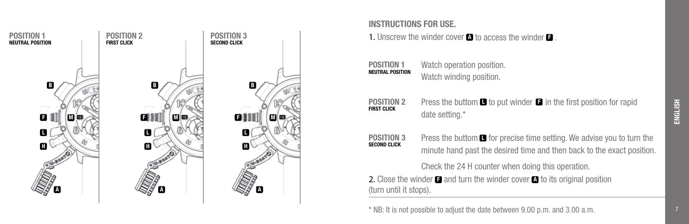

### INSTRUCTIONS FOR USE.

1. Unscrew the winder cover  $\blacksquare$  to access the winder  $\blacksquare$ .

| POSITION 1              |  |
|-------------------------|--|
| <b>NEUTRAL POSITION</b> |  |

Watch operation position. Watch winding position.

- Press the buttom  $\blacksquare$  to put winder  $\blacksquare$  in the first position for rapid date setting.\* POSITION 2 **FIRST CLICK**
- Press the buttom  $\blacksquare$  for precise time setting. We advise you to turn the minute hand past the desired time and then back to the exact position. POSITION 3 SECOND CLICK

Check the 24 H counter when doing this operation.

2. Close the winder  $\square$  and turn the winder cover  $\square$  to its original position (turn until it stops).

\* NB: It is not possible to adjust the date between 9.00 p.m. and 3.00 a.m.